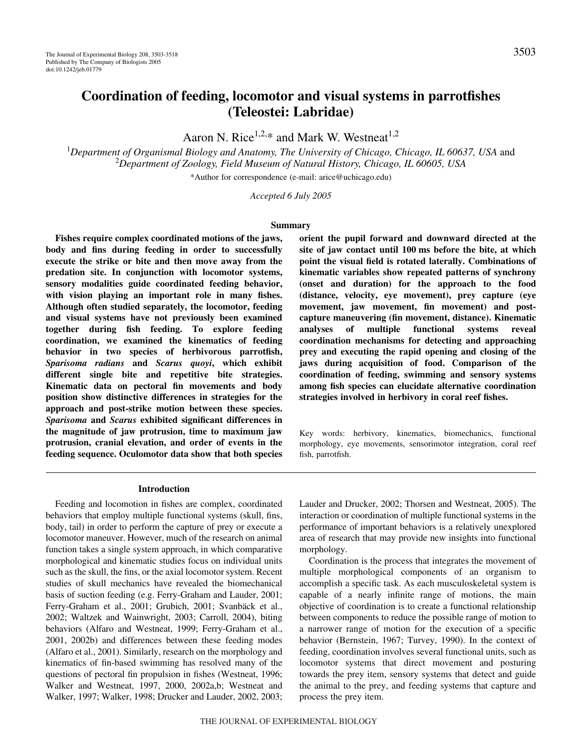# **Coordination of feeding, locomotor and visual systems in parrotfishes (Teleostei: Labridae)**

Aaron N. Rice<sup>1,2,\*</sup> and Mark W. Westneat<sup>1,2</sup>

<sup>1</sup>Department of Organismal Biology and Anatomy, The University of Chicago, Chicago, IL 60637, USA and 2 *Department of Zoology, Field Museum of Natural History, Chicago, IL 60605, USA*

\*Author for correspondence (e-mail: arice@uchicago.edu)

*Accepted 6 July 2005*

#### **Summary**

**Fishes require complex coordinated motions of the jaws, body and fins during feeding in order to successfully execute the strike or bite and then move away from the predation site. In conjunction with locomotor systems, sensory modalities guide coordinated feeding behavior, with vision playing an important role in many fishes. Although often studied separately, the locomotor, feeding and visual systems have not previously been examined together during fish feeding. To explore feeding coordination, we examined the kinematics of feeding behavior in two species of herbivorous parrotfish,** *Sparisoma radians* **and** *Scarus quoyi***, which exhibit different single bite and repetitive bite strategies. Kinematic data on pectoral fin movements and body position show distinctive differences in strategies for the approach and post-strike motion between these species.** *Sparisoma* **and** *Scarus* **exhibited significant differences in the magnitude of jaw protrusion, time to maximum jaw protrusion, cranial elevation, and order of events in the feeding sequence. Oculomotor data show that both species** **orient the pupil forward and downward directed at the** site of jaw contact until 100 ms before the bite, at which **point the visual field is rotated laterally. Combinations of kinematic variables show repeated patterns of synchrony (onset and duration) for the approach to the food (distance, velocity, eye movement), prey capture (eye movement, jaw movement, fin movement) and postcapture maneuvering (fin movement, distance). Kinematic analyses of multiple functional systems reveal coordination mechanisms for detecting and approaching prey and executing the rapid opening and closing of the jaws during acquisition of food. Comparison of the coordination of feeding, swimming and sensory systems among fish species can elucidate alternative coordination strategies involved in herbivory in coral reef fishes.**

Key words: herbivory, kinematics, biomechanics, functional morphology, eye movements, sensorimotor integration, coral reef fish, parrotfish.

### **Introduction**

Feeding and locomotion in fishes are complex, coordinated behaviors that employ multiple functional systems (skull, fins, body, tail) in order to perform the capture of prey or execute a locomotor maneuver. However, much of the research on animal function takes a single system approach, in which comparative morphological and kinematic studies focus on individual units such as the skull, the fins, or the axial locomotor system. Recent studies of skull mechanics have revealed the biomechanical basis of suction feeding (e.g. Ferry-Graham and Lauder, 2001; Ferry-Graham et al., 2001; Grubich, 2001; Svanbäck et al., 2002; Waltzek and Wainwright, 2003; Carroll, 2004), biting behaviors (Alfaro and Westneat, 1999; Ferry-Graham et al., 2001, 2002b) and differences between these feeding modes (Alfaro et al., 2001). Similarly, research on the morphology and kinematics of fin-based swimming has resolved many of the questions of pectoral fin propulsion in fishes (Westneat, 1996; Walker and Westneat, 1997, 2000, 2002a,b; Westneat and Walker, 1997; Walker, 1998; Drucker and Lauder, 2002, 2003; Lauder and Drucker, 2002; Thorsen and Westneat, 2005). The interaction or coordination of multiple functional systems in the performance of important behaviors is a relatively unexplored area of research that may provide new insights into functional morphology.

Coordination is the process that integrates the movement of multiple morphological components of an organism to accomplish a specific task. As each musculoskeletal system is capable of a nearly infinite range of motions, the main objective of coordination is to create a functional relationship between components to reduce the possible range of motion to a narrower range of motion for the execution of a specific behavior (Bernstein, 1967; Turvey, 1990). In the context of feeding, coordination involves several functional units, such as locomotor systems that direct movement and posturing towards the prey item, sensory systems that detect and guide the animal to the prey, and feeding systems that capture and process the prey item.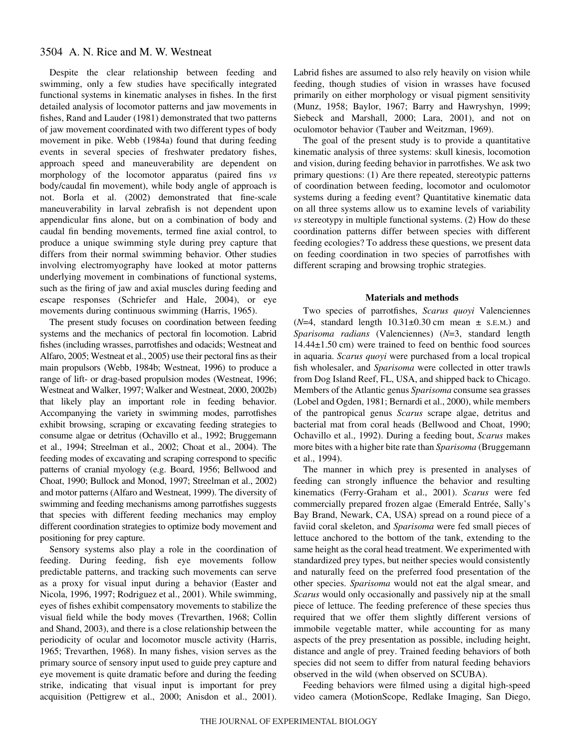Despite the clear relationship between feeding and swimming, only a few studies have specifically integrated functional systems in kinematic analyses in fishes. In the first detailed analysis of locomotor patterns and jaw movements in fishes, Rand and Lauder (1981) demonstrated that two patterns of jaw movement coordinated with two different types of body movement in pike. Webb (1984a) found that during feeding events in several species of freshwater predatory fishes, approach speed and maneuverability are dependent on morphology of the locomotor apparatus (paired fins *vs* body/caudal fin movement), while body angle of approach is not. Borla et al. (2002) demonstrated that fine-scale maneuverability in larval zebrafish is not dependent upon appendicular fins alone, but on a combination of body and caudal fin bending movements, termed fine axial control, to produce a unique swimming style during prey capture that differs from their normal swimming behavior. Other studies involving electromyography have looked at motor patterns underlying movement in combinations of functional systems, such as the firing of jaw and axial muscles during feeding and escape responses (Schriefer and Hale, 2004), or eye movements during continuous swimming (Harris, 1965).

The present study focuses on coordination between feeding systems and the mechanics of pectoral fin locomotion. Labrid fishes (including wrasses, parrotfishes and odacids; Westneat and Alfaro, 2005; Westneat et al., 2005) use their pectoral fins as their main propulsors (Webb, 1984b; Westneat, 1996) to produce a range of lift- or drag-based propulsion modes (Westneat, 1996; Westneat and Walker, 1997; Walker and Westneat, 2000, 2002b) that likely play an important role in feeding behavior. Accompanying the variety in swimming modes, parrotfishes exhibit browsing, scraping or excavating feeding strategies to consume algae or detritus (Ochavillo et al., 1992; Bruggemann et al., 1994; Streelman et al., 2002; Choat et al., 2004). The feeding modes of excavating and scraping correspond to specific patterns of cranial myology (e.g. Board, 1956; Bellwood and Choat, 1990; Bullock and Monod, 1997; Streelman et al., 2002) and motor patterns (Alfaro and Westneat, 1999). The diversity of swimming and feeding mechanisms among parrotfishes suggests that species with different feeding mechanics may employ different coordination strategies to optimize body movement and positioning for prey capture.

Sensory systems also play a role in the coordination of feeding. During feeding, fish eye movements follow predictable patterns, and tracking such movements can serve as a proxy for visual input during a behavior (Easter and Nicola, 1996, 1997; Rodriguez et al., 2001). While swimming, eyes of fishes exhibit compensatory movements to stabilize the visual field while the body moves (Trevarthen, 1968; Collin and Shand, 2003), and there is a close relationship between the periodicity of ocular and locomotor muscle activity (Harris, 1965; Trevarthen, 1968). In many fishes, vision serves as the primary source of sensory input used to guide prey capture and eye movement is quite dramatic before and during the feeding strike, indicating that visual input is important for prey acquisition (Pettigrew et al., 2000; Anisdon et al., 2001).

Labrid fishes are assumed to also rely heavily on vision while feeding, though studies of vision in wrasses have focused primarily on either morphology or visual pigment sensitivity (Munz, 1958; Baylor, 1967; Barry and Hawryshyn, 1999; Siebeck and Marshall, 2000; Lara, 2001), and not on oculomotor behavior (Tauber and Weitzman, 1969).

The goal of the present study is to provide a quantitative kinematic analysis of three systems: skull kinesis, locomotion and vision, during feeding behavior in parrotfishes. We ask two primary questions: (1) Are there repeated, stereotypic patterns of coordination between feeding, locomotor and oculomotor systems during a feeding event? Quantitative kinematic data on all three systems allow us to examine levels of variability *vs* stereotypy in multiple functional systems. (2) How do these coordination patterns differ between species with different feeding ecologies? To address these questions, we present data on feeding coordination in two species of parrotfishes with different scraping and browsing trophic strategies.

# **Materials and methods**

Two species of parrotfishes, *Scarus quoyi* Valenciennes  $(N=4, standard length 10.31\pm0.30 cm mean \pm s.E.M.)$  and *Sparisoma radians* (Valenciennes) (*N*=3, standard length  $14.44\pm1.50$  cm) were trained to feed on benthic food sources in aquaria. *Scarus quoyi* were purchased from a local tropical fish wholesaler, and *Sparisoma* were collected in otter trawls from Dog Island Reef, FL, USA, and shipped back to Chicago. Members of the Atlantic genus *Sparisoma* consume sea grasses (Lobel and Ogden, 1981; Bernardi et al., 2000), while members of the pantropical genus *Scarus* scrape algae, detritus and bacterial mat from coral heads (Bellwood and Choat, 1990; Ochavillo et al., 1992). During a feeding bout, *Scarus* makes more bites with a higher bite rate than *Sparisoma* (Bruggemann et al., 1994).

The manner in which prey is presented in analyses of feeding can strongly influence the behavior and resulting kinematics (Ferry-Graham et al., 2001). *Scarus* were fed commercially prepared frozen algae (Emerald Entrée, Sally's Bay Brand, Newark, CA, USA) spread on a round piece of a faviid coral skeleton, and *Sparisoma* were fed small pieces of lettuce anchored to the bottom of the tank, extending to the same height as the coral head treatment. We experimented with standardized prey types, but neither species would consistently and naturally feed on the preferred food presentation of the other species. *Sparisoma* would not eat the algal smear, and *Scarus* would only occasionally and passively nip at the small piece of lettuce. The feeding preference of these species thus required that we offer them slightly different versions of immobile vegetable matter, while accounting for as many aspects of the prey presentation as possible, including height, distance and angle of prey. Trained feeding behaviors of both species did not seem to differ from natural feeding behaviors observed in the wild (when observed on SCUBA).

Feeding behaviors were filmed using a digital high-speed video camera (MotionScope, Redlake Imaging, San Diego,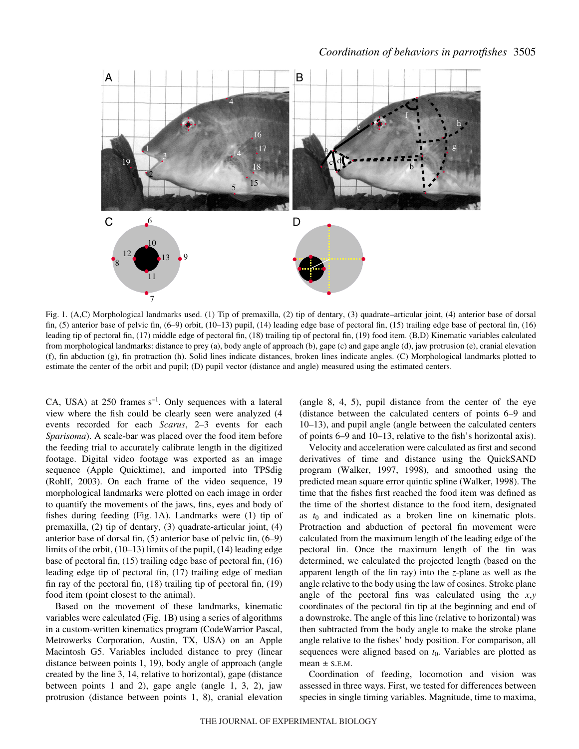

Fig. 1. (A,C) Morphological landmarks used. (1) Tip of premaxilla, (2) tip of dentary, (3) quadrate–articular joint, (4) anterior base of dorsal fin, (5) anterior base of pelvic fin, (6–9) orbit, (10–13) pupil, (14) leading edge base of pectoral fin, (15) trailing edge base of pectoral fin, (16) leading tip of pectoral fin, (17) middle edge of pectoral fin, (18) trailing tip of pectoral fin, (19) food item. (B,D) Kinematic variables calculated from morphological landmarks: distance to prey (a), body angle of approach (b), gape (c) and gape angle (d), jaw protrusion (e), cranial elevation (f), fin abduction (g), fin protraction (h). Solid lines indicate distances, broken lines indicate angles. (C) Morphological landmarks plotted to estimate the center of the orbit and pupil; (D) pupil vector (distance and angle) measured using the estimated centers.

CA, USA) at 250 frames  $s^{-1}$ . Only sequences with a lateral view where the fish could be clearly seen were analyzed (4 events recorded for each *Scarus*, 2–3 events for each *Sparisoma*). A scale-bar was placed over the food item before the feeding trial to accurately calibrate length in the digitized footage. Digital video footage was exported as an image sequence (Apple Quicktime), and imported into TPSdig (Rohlf, 2003). On each frame of the video sequence, 19 morphological landmarks were plotted on each image in order to quantify the movements of the jaws, fins, eyes and body of fishes during feeding (Fig. 1A). Landmarks were  $(1)$  tip of premaxilla, (2) tip of dentary, (3) quadrate-articular joint, (4) anterior base of dorsal fin, (5) anterior base of pelvic fin, (6–9) limits of the orbit, (10–13) limits of the pupil, (14) leading edge base of pectoral fin, (15) trailing edge base of pectoral fin, (16) leading edge tip of pectoral fin, (17) trailing edge of median fin ray of the pectoral fin, (18) trailing tip of pectoral fin, (19) food item (point closest to the animal).

Based on the movement of these landmarks, kinematic variables were calculated (Fig. 1B) using a series of algorithms in a custom-written kinematics program (CodeWarrior Pascal, Metrowerks Corporation, Austin, TX, USA) on an Apple Macintosh G5. Variables included distance to prey (linear distance between points 1, 19), body angle of approach (angle created by the line 3, 14, relative to horizontal), gape (distance between points 1 and 2), gape angle (angle 1, 3, 2), jaw protrusion (distance between points 1, 8), cranial elevation (angle 8, 4, 5), pupil distance from the center of the eye (distance between the calculated centers of points 6–9 and 10–13), and pupil angle (angle between the calculated centers of points 6–9 and 10–13, relative to the fish's horizontal axis).

Velocity and acceleration were calculated as first and second derivatives of time and distance using the QuickSAND program (Walker, 1997, 1998), and smoothed using the predicted mean square error quintic spline (Walker, 1998). The time that the fishes first reached the food item was defined as the time of the shortest distance to the food item, designated as  $t_0$  and indicated as a broken line on kinematic plots. Protraction and abduction of pectoral fin movement were calculated from the maximum length of the leading edge of the pectoral fin. Once the maximum length of the fin was determined, we calculated the projected length (based on the apparent length of the fin ray) into the *z*-plane as well as the angle relative to the body using the law of cosines. Stroke plane angle of the pectoral fins was calculated using the *x*,*y* coordinates of the pectoral fin tip at the beginning and end of a downstroke. The angle of this line (relative to horizontal) was then subtracted from the body angle to make the stroke plane angle relative to the fishes' body position. For comparison, all sequences were aligned based on  $t_0$ . Variables are plotted as mean  $\pm$  S.E.M.

Coordination of feeding, locomotion and vision was assessed in three ways. First, we tested for differences between species in single timing variables. Magnitude, time to maxima,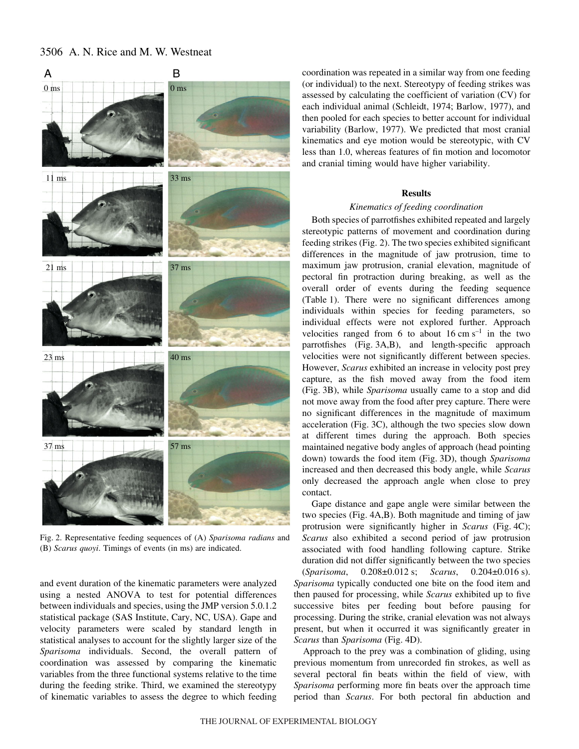

Fig. 2. Representative feeding sequences of (A) *Sparisoma radians* and (B) *Scarus quoyi*. Timings of events (in ms) are indicated.

and event duration of the kinematic parameters were analyzed using a nested ANOVA to test for potential differences between individuals and species, using the JMP version 5.0.1.2 statistical package (SAS Institute, Cary, NC, USA). Gape and velocity parameters were scaled by standard length in statistical analyses to account for the slightly larger size of the *Sparisoma* individuals. Second, the overall pattern of coordination was assessed by comparing the kinematic variables from the three functional systems relative to the time during the feeding strike. Third, we examined the stereotypy of kinematic variables to assess the degree to which feeding coordination was repeated in a similar way from one feeding (or individual) to the next. Stereotypy of feeding strikes was assessed by calculating the coefficient of variation (CV) for each individual animal (Schleidt, 1974; Barlow, 1977), and then pooled for each species to better account for individual variability (Barlow, 1977). We predicted that most cranial kinematics and eye motion would be stereotypic, with CV less than 1.0, whereas features of fin motion and locomotor and cranial timing would have higher variability.

# **Results**

### *Kinematics of feeding coordination*

Both species of parrotfishes exhibited repeated and largely stereotypic patterns of movement and coordination during feeding strikes (Fig. 2). The two species exhibited significant differences in the magnitude of jaw protrusion, time to maximum jaw protrusion, cranial elevation, magnitude of pectoral fin protraction during breaking, as well as the overall order of events during the feeding sequence (Table 1). There were no significant differences among individuals within species for feeding parameters, so individual effects were not explored further. Approach velocities ranged from 6 to about  $16 \text{ cm s}^{-1}$  in the two parrotfishes (Fig. 3A,B), and length-specific approach velocities were not significantly different between species. However, *Scarus* exhibited an increase in velocity post prey capture, as the fish moved away from the food item (Fig. 3B), while *Sparisoma* usually came to a stop and did not move away from the food after prey capture. There were no significant differences in the magnitude of maximum acceleration (Fig. 3C), although the two species slow down at different times during the approach. Both species maintained negative body angles of approach (head pointing down) towards the food item (Fig.·3D), though *Sparisoma* increased and then decreased this body angle, while *Scarus* only decreased the approach angle when close to prey contact.

Gape distance and gape angle were similar between the two species (Fig. 4A,B). Both magnitude and timing of jaw protrusion were significantly higher in *Scarus* (Fig. 4C); *Scarus* also exhibited a second period of jaw protrusion associated with food handling following capture. Strike duration did not differ significantly between the two species (*Sparisoma*, 0.208±0.012·s; *Scarus*, 0.204±0.016·s). *Sparisoma* typically conducted one bite on the food item and then paused for processing, while *Scarus* exhibited up to five successive bites per feeding bout before pausing for processing. During the strike, cranial elevation was not always present, but when it occurred it was significantly greater in *Scarus than Sparisoma* (Fig. 4D).

Approach to the prey was a combination of gliding, using previous momentum from unrecorded fin strokes, as well as several pectoral fin beats within the field of view, with *Sparisoma* performing more fin beats over the approach time period than *Scarus*. For both pectoral fin abduction and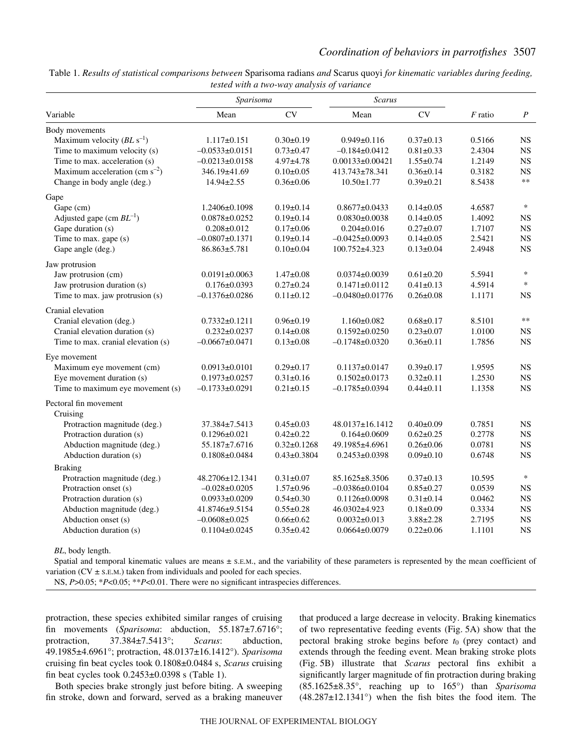| Variable                            | Sparisoma            |                   | Scarus                |                 |           |                  |
|-------------------------------------|----------------------|-------------------|-----------------------|-----------------|-----------|------------------|
|                                     | Mean                 | <b>CV</b>         | Mean                  | CV              | $F$ ratio | $\boldsymbol{P}$ |
| Body movements                      |                      |                   |                       |                 |           |                  |
| Maximum velocity $(BL s^{-1})$      | $1.117 \pm 0.151$    | $0.30 \pm 0.19$   | $0.949 \pm 0.116$     | $0.37 \pm 0.13$ | 0.5166    | $_{\rm NS}$      |
| Time to maximum velocity (s)        | $-0.0533 \pm 0.0151$ | $0.73 \pm 0.47$   | $-0.184 \pm 0.0412$   | $0.81 \pm 0.33$ | 2.4304    | <b>NS</b>        |
| Time to max. acceleration (s)       | $-0.0213 \pm 0.0158$ | $4.97 + 4.78$     | $0.00133\pm0.00421$   | $1.55 \pm 0.74$ | 1.2149    | <b>NS</b>        |
| Maximum acceleration (cm $s^{-2}$ ) | 346.19±41.69         | $0.10 \pm 0.05$   | 413.743±78.341        | $0.36 \pm 0.14$ | 0.3182    | <b>NS</b>        |
| Change in body angle (deg.)         | $14.94 \pm 2.55$     | $0.36 \pm 0.06$   | $10.50 \pm 1.77$      | $0.39 \pm 0.21$ | 8.5438    | $**$             |
| Gape                                |                      |                   |                       |                 |           |                  |
| Gape (cm)                           | $1.2406 \pm 0.1098$  | $0.19 \pm 0.14$   | $0.8677 \pm 0.0433$   | $0.14 \pm 0.05$ | 4.6587    | $\ast$           |
| Adjusted gape (cm $BL^{-1}$ )       | $0.0878 \pm 0.0252$  | $0.19 \pm 0.14$   | $0.0830\pm0.0038$     | $0.14 \pm 0.05$ | 1.4092    | $_{\rm NS}$      |
| Gape duration (s)                   | $0.208 \pm 0.012$    | $0.17 \pm 0.06$   | $0.204 \pm 0.016$     | $0.27 \pm 0.07$ | 1.7107    | <b>NS</b>        |
| Time to max. gape (s)               | $-0.0807 \pm 0.1371$ | $0.19 \pm 0.14$   | $-0.0425 \pm 0.0093$  | $0.14 \pm 0.05$ | 2.5421    | <b>NS</b>        |
| Gape angle (deg.)                   | 86.863±5.781         | $0.10 \pm 0.04$   | 100.752±4.323         | $0.13 \pm 0.04$ | 2.4948    | <b>NS</b>        |
| Jaw protrusion                      |                      |                   |                       |                 |           |                  |
| Jaw protrusion (cm)                 | $0.0191 \pm 0.0063$  | $1.47 \pm 0.08$   | $0.0374\pm0.0039$     | $0.61 \pm 0.20$ | 5.5941    | $\ast$           |
| Jaw protrusion duration (s)         | $0.176 \pm 0.0393$   | $0.27 \pm 0.24$   | $0.1471 \pm 0.0112$   | $0.41 \pm 0.13$ | 4.5914    | $\ast$           |
| Time to max. jaw protrusion (s)     | $-0.1376 \pm 0.0286$ | $0.11 \pm 0.12$   | $-0.0480 \pm 0.01776$ | $0.26 \pm 0.08$ | 1.1171    | <b>NS</b>        |
| Cranial elevation                   |                      |                   |                       |                 |           |                  |
| Cranial elevation (deg.)            | $0.7332 \pm 0.1211$  | $0.96 \pm 0.19$   | $1.160 \pm 0.082$     | $0.68 \pm 0.17$ | 8.5101    | $\ast\ast$       |
| Cranial elevation duration (s)      | $0.232 \pm 0.0237$   | $0.14 \pm 0.08$   | $0.1592 \pm 0.0250$   | $0.23 \pm 0.07$ | 1.0100    | <b>NS</b>        |
| Time to max. cranial elevation (s)  | $-0.0667 \pm 0.0471$ | $0.13 \pm 0.08$   | $-0.1748 \pm 0.0320$  | $0.36 \pm 0.11$ | 1.7856    | <b>NS</b>        |
| Eye movement                        |                      |                   |                       |                 |           |                  |
| Maximum eye movement (cm)           | $0.0913 \pm 0.0101$  | $0.29 \pm 0.17$   | $0.1137 \pm 0.0147$   | $0.39 \pm 0.17$ | 1.9595    | <b>NS</b>        |
| Eye movement duration (s)           | $0.1973 \pm 0.0257$  | $0.31 \pm 0.16$   | $0.1502 \pm 0.0173$   | $0.32 \pm 0.11$ | 1.2530    | <b>NS</b>        |
| Time to maximum eye movement (s)    | $-0.1733 \pm 0.0291$ | $0.21 \pm 0.15$   | $-0.1785 \pm 0.0394$  | $0.44 \pm 0.11$ | 1.1358    | <b>NS</b>        |
| Pectoral fin movement               |                      |                   |                       |                 |           |                  |
| Cruising                            |                      |                   |                       |                 |           |                  |
| Protraction magnitude (deg.)        | 37.384±7.5413        | $0.45 \pm 0.03$   | $48.0137 \pm 16.1412$ | $0.40 \pm 0.09$ | 0.7851    | <b>NS</b>        |
| Protraction duration (s)            | $0.1296 \pm 0.021$   | $0.42 \pm 0.22$   | $0.164 \pm 0.0609$    | $0.62 \pm 0.25$ | 0.2778    | <b>NS</b>        |
| Abduction magnitude (deg.)          | 55.187±7.6716        | $0.32 \pm 0.1268$ | 49.1985±4.6961        | $0.26 \pm 0.06$ | 0.0781    | <b>NS</b>        |
| Abduction duration (s)              | $0.1808 \pm 0.0484$  | $0.43 \pm 0.3804$ | $0.2453 \pm 0.0398$   | $0.09 \pm 0.10$ | 0.6748    | <b>NS</b>        |
| <b>Braking</b>                      |                      |                   |                       |                 |           |                  |
| Protraction magnitude (deg.)        | 48.2706±12.1341      | $0.31 \pm 0.07$   | 85.1625±8.3506        | $0.37 \pm 0.13$ | 10.595    | $\ast$           |
| Protraction onset (s)               | $-0.028 \pm 0.0205$  | $1.57 \pm 0.96$   | $-0.0386 \pm 0.0104$  | $0.85 \pm 0.27$ | 0.0539    | <b>NS</b>        |
| Protraction duration (s)            | $0.0933 \pm 0.0209$  | $0.54 \pm 0.30$   | $0.1126 \pm 0.0098$   | $0.31 \pm 0.14$ | 0.0462    | <b>NS</b>        |
| Abduction magnitude (deg.)          | 41.8746±9.5154       | $0.55 \pm 0.28$   | 46.0302±4.923         | $0.18 \pm 0.09$ | 0.3334    | <b>NS</b>        |
| Abduction onset (s)                 | $-0.0608 \pm 0.025$  | $0.66 \pm 0.62$   | $0.0032 \pm 0.013$    | $3.88 \pm 2.28$ | 2.7195    | <b>NS</b>        |
| Abduction duration (s)              | $0.1104 \pm 0.0245$  | $0.35 \pm 0.42$   | $0.0664 \pm 0.0079$   | $0.22 \pm 0.06$ | 1.1101    | <b>NS</b>        |

Table·1. *Results of statistical comparisons between* Sparisoma radians *and* Scarus quoyi *for kinematic variables during feeding, tested with a two-way analysis of variance* 

*BL*, body length.

Spatial and temporal kinematic values are means  $\pm$  s.e.m., and the variability of these parameters is represented by the mean coefficient of variation ( $CV \pm s.E.M.$ ) taken from individuals and pooled for each species.

NS, *P*>0.05; \**P*<0.05; \*\**P*<0.01. There were no significant intraspecies differences.

protraction, these species exhibited similar ranges of cruising fin movements (*Sparisoma*: abduction, 55.187±7.6716°; protraction, 37.384±7.5413°; *Scarus*: abduction, 49.1985±4.6961°; protraction, 48.0137±16.1412°). *Sparisoma* cruising fin beat cycles took 0.1808±0.0484 s, *Scarus* cruising fin beat cycles took  $0.2453\pm0.0398$  s (Table 1).

Both species brake strongly just before biting. A sweeping fin stroke, down and forward, served as a braking maneuver that produced a large decrease in velocity. Braking kinematics of two representative feeding events (Fig. 5A) show that the pectoral braking stroke begins before  $t_0$  (prey contact) and extends through the feeding event. Mean braking stroke plots (Fig. 5B) illustrate that *Scarus* pectoral fins exhibit a significantly larger magnitude of fin protraction during braking (85.1625±8.35°, reaching up to 165°) than *Sparisoma* (48.287±12.1341°) when the fish bites the food item. The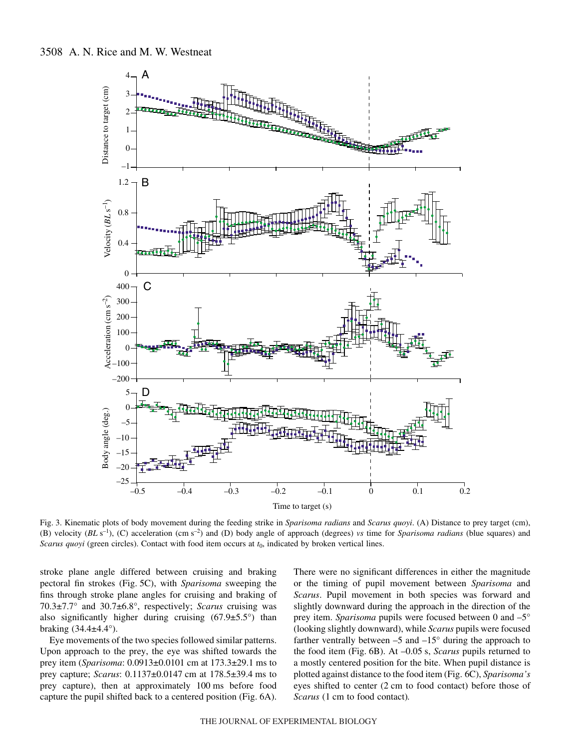

Fig. 3. Kinematic plots of body movement during the feeding strike in *Sparisoma radians* and *Scarus quoyi*. (A) Distance to prey target (cm), (B) velocity (*BL*·s–1), (C) acceleration (cm·s–2) and (D) body angle of approach (degrees) *vs* time for *Sparisoma radians* (blue squares) and *Scarus quoyi* (green circles). Contact with food item occurs at  $t_0$ , indicated by broken vertical lines.

stroke plane angle differed between cruising and braking pectoral fin strokes (Fig. 5C), with *Sparisoma* sweeping the fins through stroke plane angles for cruising and braking of 70.3±7.7° and 30.7±6.8°, respectively; *Scarus* cruising was also significantly higher during cruising  $(67.9 \pm 5.5^{\circ})$  than braking (34.4±4.4°).

Eye movements of the two species followed similar patterns. Upon approach to the prey, the eye was shifted towards the prey item (*Sparisoma*: 0.0913±0.0101 cm at 173.3±29.1 ms to prey capture; *Scarus*: 0.1137±0.0147 cm at 178.5±39.4 ms to prey capture), then at approximately 100 ms before food capture the pupil shifted back to a centered position (Fig. 6A).

There were no significant differences in either the magnitude or the timing of pupil movement between *Sparisoma* and *Scarus*. Pupil movement in both species was forward and slightly downward during the approach in the direction of the prey item. *Sparisoma* pupils were focused between 0 and –5° (looking slightly downward), while *Scarus* pupils were focused farther ventrally between  $-5$  and  $-15^{\circ}$  during the approach to the food item (Fig. 6B). At –0.05 s, *Scarus* pupils returned to a mostly centered position for the bite. When pupil distance is plotted against distance to the food item (Fig.·6C), *Sparisoma's* eyes shifted to center (2 cm to food contact) before those of *Scarus* (1 cm to food contact).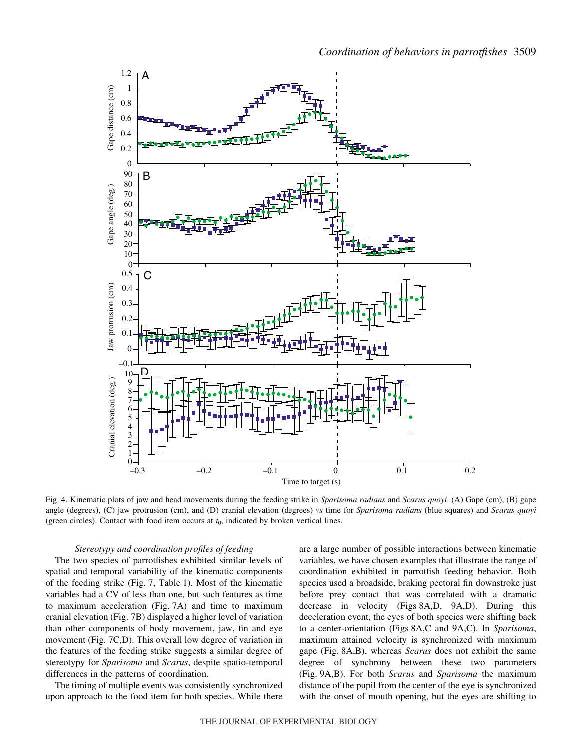

Fig. 4. Kinematic plots of jaw and head movements during the feeding strike in *Sparisoma radians* and *Scarus quoyi*. (A) Gape (cm), (B) gape angle (degrees), (C) jaw protrusion (cm), and (D) cranial elevation (degrees) *vs* time for *Sparisoma radians* (blue squares) and *Scarus quoyi* (green circles). Contact with food item occurs at  $t<sub>0</sub>$ , indicated by broken vertical lines.

#### *Stereotypy and coordination profiles of feeding*

The two species of parrotfishes exhibited similar levels of spatial and temporal variability of the kinematic components of the feeding strike (Fig. 7, Table 1). Most of the kinematic variables had a CV of less than one, but such features as time to maximum acceleration (Fig. 7A) and time to maximum cranial elevation (Fig. 7B) displayed a higher level of variation than other components of body movement, jaw, fin and eye movement (Fig. 7C,D). This overall low degree of variation in the features of the feeding strike suggests a similar degree of stereotypy for *Sparisoma* and *Scarus*, despite spatio-temporal differences in the patterns of coordination.

The timing of multiple events was consistently synchronized upon approach to the food item for both species. While there

are a large number of possible interactions between kinematic variables, we have chosen examples that illustrate the range of coordination exhibited in parrotfish feeding behavior. Both species used a broadside, braking pectoral fin downstroke just before prey contact that was correlated with a dramatic decrease in velocity (Figs 8A,D, 9A,D). During this deceleration event, the eyes of both species were shifting back to a center-orientation (Figs·8A,C and 9A,C). In *Sparisoma*, maximum attained velocity is synchronized with maximum gape (Fig. 8A,B), whereas *Scarus* does not exhibit the same degree of synchrony between these two parameters (Fig.·9A,B). For both *Scarus* and *Sparisoma* the maximum distance of the pupil from the center of the eye is synchronized with the onset of mouth opening, but the eyes are shifting to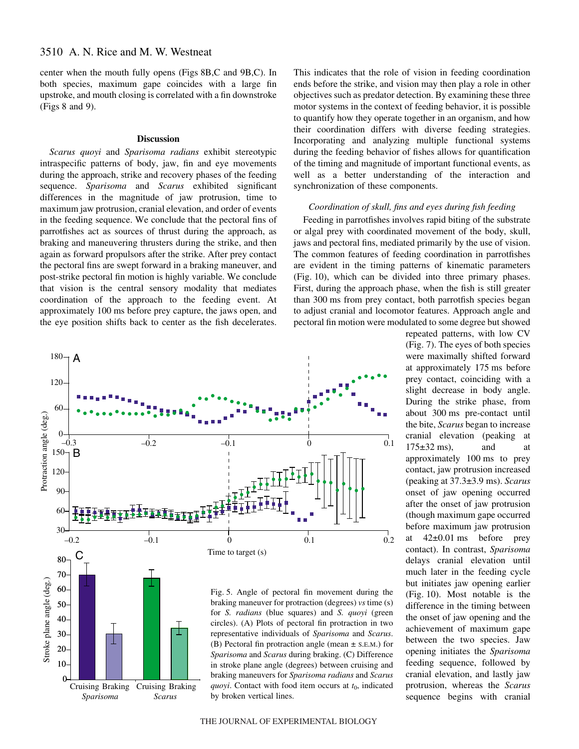center when the mouth fully opens (Figs·8B,C and 9B,C). In both species, maximum gape coincides with a large fin upstroke, and mouth closing is correlated with a fin downstroke  $(Figs 8 and 9)$ .

#### **Discussion**

*Scarus quoyi* and *Sparisoma radians* exhibit stereotypic intraspecific patterns of body, jaw, fin and eye movements during the approach, strike and recovery phases of the feeding sequence. *Sparisoma* and *Scarus* exhibited significant differences in the magnitude of jaw protrusion, time to maximum jaw protrusion, cranial elevation, and order of events in the feeding sequence. We conclude that the pectoral fins of parrotfishes act as sources of thrust during the approach, as braking and maneuvering thrusters during the strike, and then again as forward propulsors after the strike. After prey contact the pectoral fins are swept forward in a braking maneuver, and post-strike pectoral fin motion is highly variable. We conclude that vision is the central sensory modality that mediates coordination of the approach to the feeding event. At approximately 100 ms before prey capture, the jaws open, and the eye position shifts back to center as the fish decelerates.





Fig. 5. Angle of pectoral fin movement during the braking maneuver for protraction (degrees) *vs* time (s) for *S. radians* (blue squares) and *S. quoyi* (green circles). (A) Plots of pectoral fin protraction in two representative individuals of *Sparisoma* and *Scarus*. (B) Pectoral fin protraction angle (mean ± S.E.M.) for *Sparisoma* and *Scarus* during braking. (C) Difference in stroke plane angle (degrees) between cruising and braking maneuvers for *Sparisoma radians* and *Scarus quoyi*. Contact with food item occurs at  $t_0$ , indicated by broken vertical lines.

This indicates that the role of vision in feeding coordination ends before the strike, and vision may then play a role in other objectives such as predator detection. By examining these three motor systems in the context of feeding behavior, it is possible to quantify how they operate together in an organism, and how their coordination differs with diverse feeding strategies. Incorporating and analyzing multiple functional systems during the feeding behavior of fishes allows for quantification of the timing and magnitude of important functional events, as well as a better understanding of the interaction and synchronization of these components.

# *Coordination of skull, fins and eyes during fish feeding*

Feeding in parrotfishes involves rapid biting of the substrate or algal prey with coordinated movement of the body, skull, jaws and pectoral fins, mediated primarily by the use of vision. The common features of feeding coordination in parrotfishes are evident in the timing patterns of kinematic parameters (Fig. 10), which can be divided into three primary phases. First, during the approach phase, when the fish is still greater than 300 ms from prey contact, both parrotfish species began to adjust cranial and locomotor features. Approach angle and pectoral fin motion were modulated to some degree but showed

> repeated patterns, with low CV (Fig. 7). The eyes of both species were maximally shifted forward at approximately 175 ms before prey contact, coinciding with a slight decrease in body angle. During the strike phase, from about 300 ms pre-contact until the bite, *Scarus* began to increase cranial elevation (peaking at  $175\pm32$  ms), and at approximately 100 ms to prey contact, jaw protrusion increased (peaking at 37.3±3.9·ms). *Scarus* onset of jaw opening occurred after the onset of jaw protrusion (though maximum gape occurred before maximum jaw protrusion at  $42\pm0.01$  ms before prey contact). In contrast, *Sparisoma* delays cranial elevation until much later in the feeding cycle but initiates jaw opening earlier  $(Fig. 10)$ . Most notable is the difference in the timing between the onset of jaw opening and the achievement of maximum gape between the two species. Jaw opening initiates the *Sparisoma* feeding sequence, followed by cranial elevation, and lastly jaw protrusion, whereas the *Scarus* sequence begins with cranial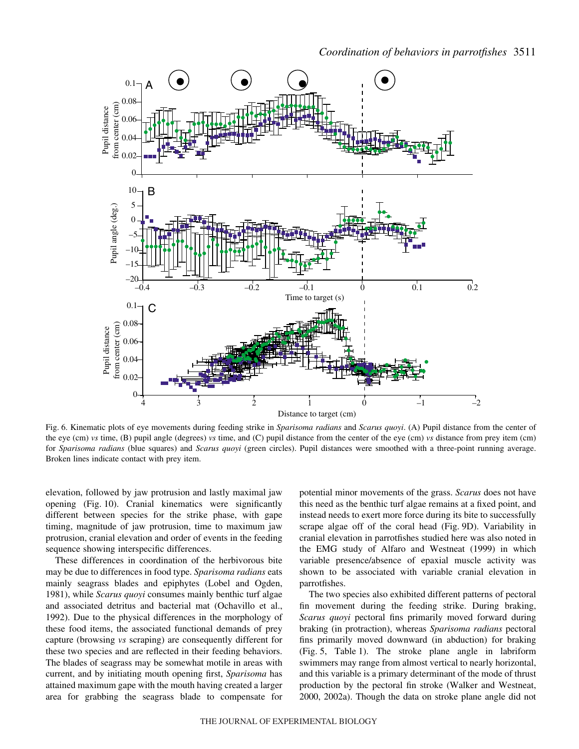*Coordination of behaviors in parrotfishes* 3511



Fig. 6. Kinematic plots of eye movements during feeding strike in *Sparisoma radians* and *Scarus quoyi*. (A) Pupil distance from the center of the eye (cm) *vs* time, (B) pupil angle (degrees) *vs* time, and (C) pupil distance from the center of the eye (cm) *vs* distance from prey item (cm) for *Sparisoma radians* (blue squares) and *Scarus quoyi* (green circles). Pupil distances were smoothed with a three-point running average. Broken lines indicate contact with prey item.

elevation, followed by jaw protrusion and lastly maximal jaw opening (Fig. 10). Cranial kinematics were significantly different between species for the strike phase, with gape timing, magnitude of jaw protrusion, time to maximum jaw protrusion, cranial elevation and order of events in the feeding sequence showing interspecific differences.

These differences in coordination of the herbivorous bite may be due to differences in food type. *Sparisoma radians* eats mainly seagrass blades and epiphytes (Lobel and Ogden, 1981), while *Scarus quoyi* consumes mainly benthic turf algae and associated detritus and bacterial mat (Ochavillo et al., 1992). Due to the physical differences in the morphology of these food items, the associated functional demands of prey capture (browsing *vs* scraping) are consequently different for these two species and are reflected in their feeding behaviors. The blades of seagrass may be somewhat motile in areas with current, and by initiating mouth opening first, *Sparisoma* has attained maximum gape with the mouth having created a larger area for grabbing the seagrass blade to compensate for potential minor movements of the grass. *Scarus* does not have this need as the benthic turf algae remains at a fixed point, and instead needs to exert more force during its bite to successfully scrape algae off of the coral head (Fig. 9D). Variability in cranial elevation in parrotfishes studied here was also noted in the EMG study of Alfaro and Westneat (1999) in which variable presence/absence of epaxial muscle activity was shown to be associated with variable cranial elevation in parrotfishes.

The two species also exhibited different patterns of pectoral fin movement during the feeding strike. During braking, *Scarus quoyi* pectoral fins primarily moved forward during braking (in protraction), whereas *Sparisoma radians* pectoral fins primarily moved downward (in abduction) for braking (Fig. 5, Table 1). The stroke plane angle in labriform swimmers may range from almost vertical to nearly horizontal, and this variable is a primary determinant of the mode of thrust production by the pectoral fin stroke (Walker and Westneat, 2000, 2002a). Though the data on stroke plane angle did not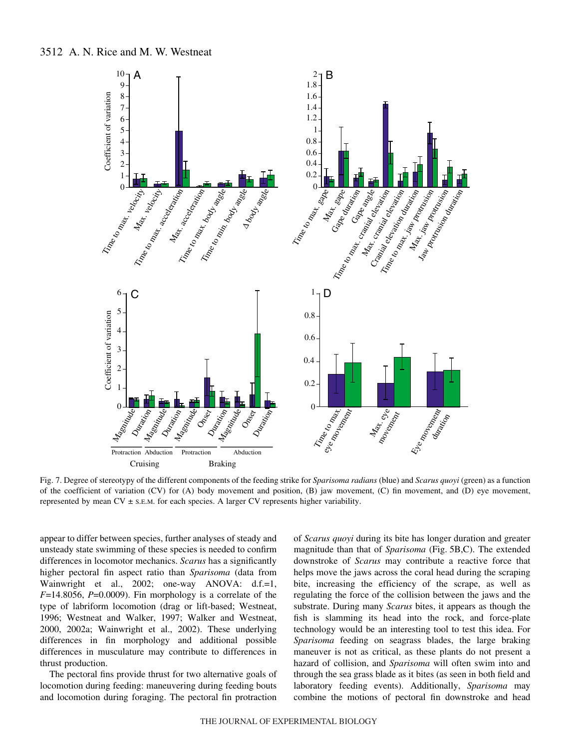

Fig. 7. Degree of stereotypy of the different components of the feeding strike for *Sparisoma radians* (blue) and *Scarus quoyi* (green) as a function of the coefficient of variation (CV) for (A) body movement and position, (B) jaw movement, (C) fin movement, and (D) eye movement, represented by mean  $CV \pm s$ . E.M. for each species. A larger CV represents higher variability.

appear to differ between species, further analyses of steady and unsteady state swimming of these species is needed to confirm differences in locomotor mechanics. *Scarus* has a significantly higher pectoral fin aspect ratio than *Sparisoma* (data from Wainwright et al., 2002; one-way ANOVA: d.f.=1,  $F=14.8056$ ,  $P=0.0009$ ). Fin morphology is a correlate of the type of labriform locomotion (drag or lift-based; Westneat, 1996; Westneat and Walker, 1997; Walker and Westneat, 2000, 2002a; Wainwright et al., 2002). These underlying differences in fin morphology and additional possible differences in musculature may contribute to differences in thrust production.

The pectoral fins provide thrust for two alternative goals of locomotion during feeding: maneuvering during feeding bouts and locomotion during foraging. The pectoral fin protraction

of *Scarus quoyi* during its bite has longer duration and greater magnitude than that of *Sparisoma* (Fig. 5B,C). The extended downstroke of *Scarus* may contribute a reactive force that helps move the jaws across the coral head during the scraping bite, increasing the efficiency of the scrape, as well as regulating the force of the collision between the jaws and the substrate. During many *Scarus* bites, it appears as though the fish is slamming its head into the rock, and force-plate technology would be an interesting tool to test this idea. For *Sparisoma* feeding on seagrass blades, the large braking maneuver is not as critical, as these plants do not present a hazard of collision, and *Sparisoma* will often swim into and through the sea grass blade as it bites (as seen in both field and laboratory feeding events). Additionally, *Sparisoma* may combine the motions of pectoral fin downstroke and head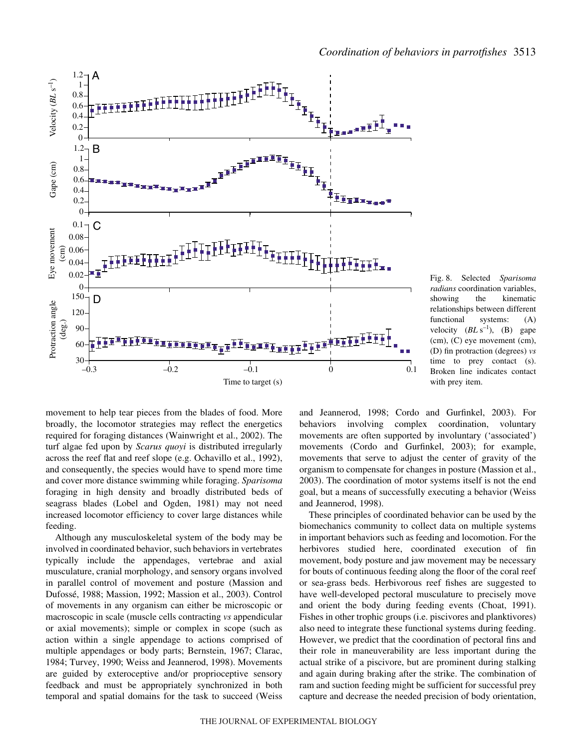

Fig. 8. Selected Sparisoma *radians* coordination variables, showing the kinematic relationships between different functional systems: (A) velocity  $(BL\text{ s}^{-1})$ , (B) gape (cm), (C) eye movement (cm), (D) fin protraction (degrees) *vs* time to prey contact (s). Broken line indicates contact with prey item.

movement to help tear pieces from the blades of food. More broadly, the locomotor strategies may reflect the energetics required for foraging distances (Wainwright et al., 2002). The turf algae fed upon by *Scarus quoyi* is distributed irregularly across the reef flat and reef slope (e.g. Ochavillo et al., 1992), and consequently, the species would have to spend more time and cover more distance swimming while foraging. *Sparisoma* foraging in high density and broadly distributed beds of seagrass blades (Lobel and Ogden, 1981) may not need increased locomotor efficiency to cover large distances while feeding.

Although any musculoskeletal system of the body may be involved in coordinated behavior, such behaviors in vertebrates typically include the appendages, vertebrae and axial musculature, cranial morphology, and sensory organs involved in parallel control of movement and posture (Massion and Dufossé, 1988; Massion, 1992; Massion et al., 2003). Control of movements in any organism can either be microscopic or macroscopic in scale (muscle cells contracting *vs* appendicular or axial movements); simple or complex in scope (such as action within a single appendage to actions comprised of multiple appendages or body parts; Bernstein, 1967; Clarac, 1984; Turvey, 1990; Weiss and Jeannerod, 1998). Movements are guided by exteroceptive and/or proprioceptive sensory feedback and must be appropriately synchronized in both temporal and spatial domains for the task to succeed (Weiss

and Jeannerod, 1998; Cordo and Gurfinkel, 2003). For behaviors involving complex coordination, voluntary movements are often supported by involuntary ('associated') movements (Cordo and Gurfinkel, 2003); for example, movements that serve to adjust the center of gravity of the organism to compensate for changes in posture (Massion et al., 2003). The coordination of motor systems itself is not the end goal, but a means of successfully executing a behavior (Weiss and Jeannerod, 1998).

These principles of coordinated behavior can be used by the biomechanics community to collect data on multiple systems in important behaviors such as feeding and locomotion. For the herbivores studied here, coordinated execution of fin movement, body posture and jaw movement may be necessary for bouts of continuous feeding along the floor of the coral reef or sea-grass beds. Herbivorous reef fishes are suggested to have well-developed pectoral musculature to precisely move and orient the body during feeding events (Choat, 1991). Fishes in other trophic groups (i.e. piscivores and planktivores) also need to integrate these functional systems during feeding. However, we predict that the coordination of pectoral fins and their role in maneuverability are less important during the actual strike of a piscivore, but are prominent during stalking and again during braking after the strike. The combination of ram and suction feeding might be sufficient for successful prey capture and decrease the needed precision of body orientation,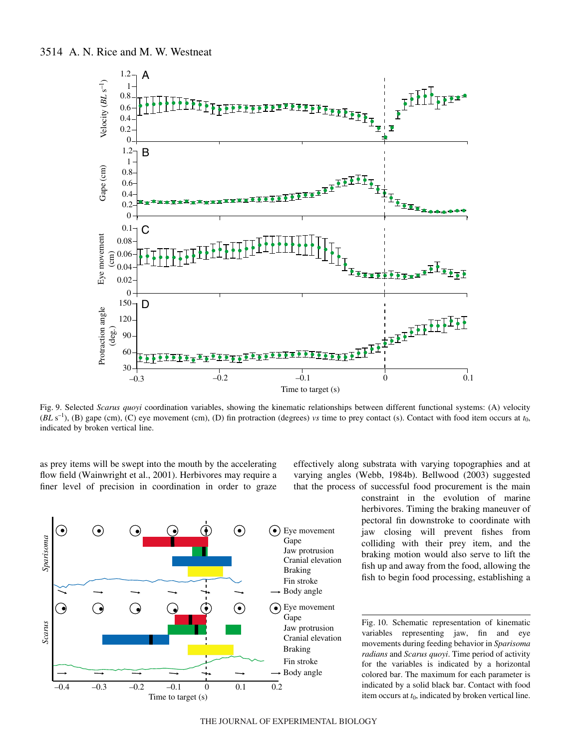

Fig. 9. Selected *Scarus quoyi* coordination variables, showing the kinematic relationships between different functional systems: (A) velocity  $(BL\text{ s}^{-1})$ , (B) gape (cm), (C) eye movement (cm), (D) fin protraction (degrees) *vs* time to prey contact (s). Contact with food item occurs at  $t_0$ , indicated by broken vertical line.

as prey items will be swept into the mouth by the accelerating flow field (Wainwright et al., 2001). Herbivores may require a finer level of precision in coordination in order to graze



effectively along substrata with varying topographies and at varying angles (Webb, 1984b). Bellwood (2003) suggested that the process of successful food procurement is the main

> constraint in the evolution of marine herbivores. Timing the braking maneuver of pectoral fin downstroke to coordinate with jaw closing will prevent fishes from colliding with their prey item, and the braking motion would also serve to lift the fish up and away from the food, allowing the fish to begin food processing, establishing a

> Fig. 10. Schematic representation of kinematic variables representing jaw, fin and eye movements during feeding behavior in *Sparisoma radians* and *Scarus quoyi*. Time period of activity for the variables is indicated by a horizontal colored bar. The maximum for each parameter is indicated by a solid black bar. Contact with food item occurs at  $t_0$ , indicated by broken vertical line.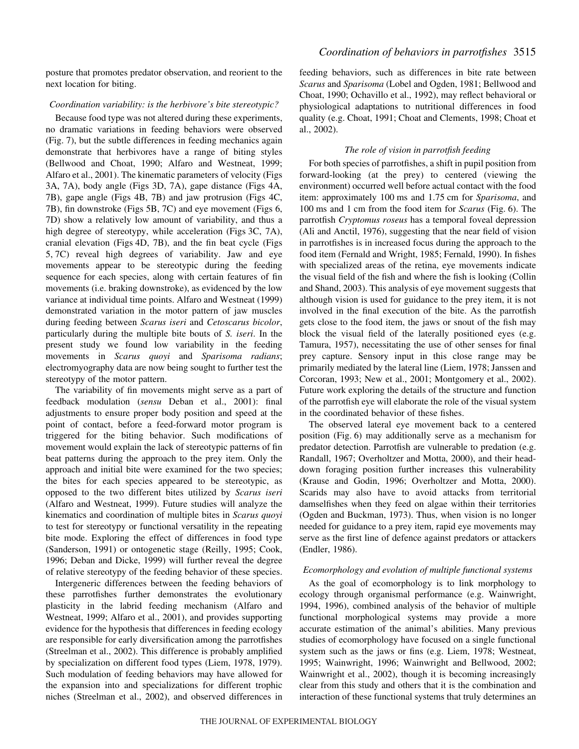posture that promotes predator observation, and reorient to the next location for biting.

## *Coordination variability: is the herbivore's bite stereotypic?*

Because food type was not altered during these experiments, no dramatic variations in feeding behaviors were observed (Fig. 7), but the subtle differences in feeding mechanics again demonstrate that herbivores have a range of biting styles (Bellwood and Choat, 1990; Alfaro and Westneat, 1999; Alfaro et al., 2001). The kinematic parameters of velocity (Figs 3A, 7A), body angle (Figs 3D, 7A), gape distance (Figs 4A, 7B), gape angle (Figs 4B, 7B) and jaw protrusion (Figs 4C, 7B), fin downstroke (Figs 5B, 7C) and eye movement (Figs 6, 7D) show a relatively low amount of variability, and thus a high degree of stereotypy, while acceleration (Figs  $3C$ , 7A), cranial elevation (Figs·4D, 7B), and the fin beat cycle (Figs 5,7C) reveal high degrees of variability. Jaw and eye movements appear to be stereotypic during the feeding sequence for each species, along with certain features of fin movements (i.e. braking downstroke), as evidenced by the low variance at individual time points. Alfaro and Westneat (1999) demonstrated variation in the motor pattern of jaw muscles during feeding between *Scarus iseri* and *Cetoscarus bicolor*, particularly during the multiple bite bouts of *S. iseri*. In the present study we found low variability in the feeding movements in *Scarus quoyi* and *Sparisoma radians*; electromyography data are now being sought to further test the stereotypy of the motor pattern.

The variability of fin movements might serve as a part of feedback modulation (*sensu* Deban et al., 2001): final adjustments to ensure proper body position and speed at the point of contact, before a feed-forward motor program is triggered for the biting behavior. Such modifications of movement would explain the lack of stereotypic patterns of fin beat patterns during the approach to the prey item. Only the approach and initial bite were examined for the two species; the bites for each species appeared to be stereotypic, as opposed to the two different bites utilized by *Scarus iseri* (Alfaro and Westneat, 1999). Future studies will analyze the kinematics and coordination of multiple bites in *Scarus quoyi* to test for stereotypy or functional versatility in the repeating bite mode. Exploring the effect of differences in food type (Sanderson, 1991) or ontogenetic stage (Reilly, 1995; Cook, 1996; Deban and Dicke, 1999) will further reveal the degree of relative stereotypy of the feeding behavior of these species.

Intergeneric differences between the feeding behaviors of these parrotfishes further demonstrates the evolutionary plasticity in the labrid feeding mechanism (Alfaro and Westneat, 1999; Alfaro et al., 2001), and provides supporting evidence for the hypothesis that differences in feeding ecology are responsible for early diversification among the parrotfishes (Streelman et al., 2002). This difference is probably amplified by specialization on different food types (Liem, 1978, 1979). Such modulation of feeding behaviors may have allowed for the expansion into and specializations for different trophic niches (Streelman et al., 2002), and observed differences in

feeding behaviors, such as differences in bite rate between *Scarus* and *Sparisoma* (Lobel and Ogden, 1981; Bellwood and Choat, 1990; Ochavillo et al., 1992), may reflect behavioral or physiological adaptations to nutritional differences in food quality (e.g. Choat, 1991; Choat and Clements, 1998; Choat et al., 2002).

# *The role of vision in parrotfish feeding*

For both species of parrotfishes, a shift in pupil position from forward-looking (at the prey) to centered (viewing the environment) occurred well before actual contact with the food item: approximately 100 ms and 1.75 cm for *Sparisoma*, and 100 ms and 1 cm from the food item for *Scarus* (Fig. 6). The parrotfish *Cryptomus roseus* has a temporal foveal depression (Ali and Anctil, 1976), suggesting that the near field of vision in parrotfishes is in increased focus during the approach to the food item (Fernald and Wright, 1985; Fernald, 1990). In fishes with specialized areas of the retina, eye movements indicate the visual field of the fish and where the fish is looking (Collin and Shand, 2003). This analysis of eye movement suggests that although vision is used for guidance to the prey item, it is not involved in the final execution of the bite. As the parrotfish gets close to the food item, the jaws or snout of the fish may block the visual field of the laterally positioned eyes (e.g. Tamura, 1957), necessitating the use of other senses for final prey capture. Sensory input in this close range may be primarily mediated by the lateral line (Liem, 1978; Janssen and Corcoran, 1993; New et al., 2001; Montgomery et al., 2002). Future work exploring the details of the structure and function of the parrotfish eye will elaborate the role of the visual system in the coordinated behavior of these fishes.

The observed lateral eye movement back to a centered position (Fig. 6) may additionally serve as a mechanism for predator detection. Parrotfish are vulnerable to predation (e.g. Randall, 1967; Overholtzer and Motta, 2000), and their headdown foraging position further increases this vulnerability (Krause and Godin, 1996; Overholtzer and Motta, 2000). Scarids may also have to avoid attacks from territorial damselfishes when they feed on algae within their territories (Ogden and Buckman, 1973). Thus, when vision is no longer needed for guidance to a prey item, rapid eye movements may serve as the first line of defence against predators or attackers (Endler, 1986).

## *Ecomorphology and evolution of multiple functional systems*

As the goal of ecomorphology is to link morphology to ecology through organismal performance (e.g. Wainwright, 1994, 1996), combined analysis of the behavior of multiple functional morphological systems may provide a more accurate estimation of the animal's abilities. Many previous studies of ecomorphology have focused on a single functional system such as the jaws or fins (e.g. Liem, 1978; Westneat, 1995; Wainwright, 1996; Wainwright and Bellwood, 2002; Wainwright et al., 2002), though it is becoming increasingly clear from this study and others that it is the combination and interaction of these functional systems that truly determines an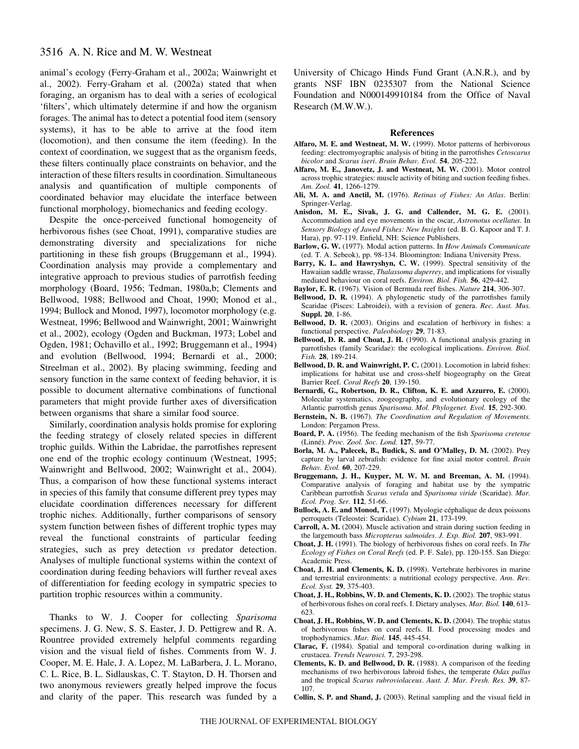animal's ecology (Ferry-Graham et al., 2002a; Wainwright et al., 2002). Ferry-Graham et al. (2002a) stated that when foraging, an organism has to deal with a series of ecological 'filters', which ultimately determine if and how the organism forages. The animal has to detect a potential food item (sensory systems), it has to be able to arrive at the food item (locomotion), and then consume the item (feeding). In the context of coordination, we suggest that as the organism feeds, these filters continually place constraints on behavior, and the interaction of these filters results in coordination. Simultaneous analysis and quantification of multiple components of coordinated behavior may elucidate the interface between functional morphology, biomechanics and feeding ecology.

Despite the once-perceived functional homogeneity of herbivorous fishes (see Choat, 1991), comparative studies are demonstrating diversity and specializations for niche partitioning in these fish groups (Bruggemann et al., 1994). Coordination analysis may provide a complementary and integrative approach to previous studies of parrotfish feeding morphology (Board, 1956; Tedman, 1980a,b; Clements and Bellwood, 1988; Bellwood and Choat, 1990; Monod et al., 1994; Bullock and Monod, 1997), locomotor morphology (e.g. Westneat, 1996; Bellwood and Wainwright, 2001; Wainwright et al., 2002), ecology (Ogden and Buckman, 1973; Lobel and Ogden, 1981; Ochavillo et al., 1992; Bruggemann et al., 1994) and evolution (Bellwood, 1994; Bernardi et al., 2000; Streelman et al., 2002). By placing swimming, feeding and sensory function in the same context of feeding behavior, it is possible to document alternative combinations of functional parameters that might provide further axes of diversification between organisms that share a similar food source.

Similarly, coordination analysis holds promise for exploring the feeding strategy of closely related species in different trophic guilds. Within the Labridae, the parrotfishes represent one end of the trophic ecology continuum (Westneat, 1995; Wainwright and Bellwood, 2002; Wainwright et al., 2004). Thus, a comparison of how these functional systems interact in species of this family that consume different prey types may elucidate coordination differences necessary for different trophic niches. Additionally, further comparisons of sensory system function between fishes of different trophic types may reveal the functional constraints of particular feeding strategies, such as prey detection *vs* predator detection. Analyses of multiple functional systems within the context of coordination during feeding behaviors will further reveal axes of differentiation for feeding ecology in sympatric species to partition trophic resources within a community.

Thanks to W. J. Cooper for collecting *Sparisoma* specimens. J. G. New, S. S. Easter, J. D. Pettigrew and R. A. Rountree provided extremely helpful comments regarding vision and the visual field of fishes. Comments from W. J. Cooper, M. E. Hale, J. A. Lopez, M. LaBarbera, J. L. Morano, C. L. Rice, B. L. Sidlauskas, C. T. Stayton, D. H. Thorsen and two anonymous reviewers greatly helped improve the focus and clarity of the paper. This research was funded by a University of Chicago Hinds Fund Grant (A.N.R.), and by grants NSF IBN 0235307 from the National Science Foundation and N000149910184 from the Office of Naval Research (M.W.W.).

#### **References**

- **Alfaro, M. E. and Westneat, M. W.** (1999). Motor patterns of herbivorous feeding: electromyographic analysis of biting in the parrotfishes *Cetoscarus bicolor* and *Scarus iseri*. *Brain Behav. Evol.* **54**, 205-222.
- **Alfaro, M. E., Janovetz, J. and Westneat, M. W.** (2001). Motor control across trophic strategies: muscle activity of biting and suction feeding fishes. *Am. Zool.* **41**, 1266-1279.
- **Ali, M. A. and Anctil, M.** (1976). *Retinas of Fishes: An Atlas*. Berlin: Springer-Verlag.
- **Anisdon, M. E., Sivak, J. G. and Callender, M. G. E.** (2001). Accommodation and eye movements in the oscar, *Astronotus ocellatus*. In *Sensory Biology of Jawed Fishes: New Insights* (ed. B. G. Kapoor and T. J. Hara), pp. 97-119. Enfield, NH: Science Publishers.
- **Barlow, G. W.** (1977). Modal action patterns. In *How Animals Communicate* (ed. T. A. Sebeok), pp. 98-134. Bloomington: Indiana University Press.
- **Barry, K. L. and Hawryshyn, C. W.** (1999). Spectral sensitivity of the Hawaiian saddle wrasse, *Thalassoma duperrey*, and implications for visually mediated behaviour on coral reefs. *Environ. Biol. Fish.* **56**, 429-442.
- **Baylor, E. R.** (1967). Vision of Bermuda reef fishes. *Nature* **214**, 306-307.
- **Bellwood, D. R.** (1994). A phylogenetic study of the parrotfishes family Scaridae (Pisces: Labroidei), with a revision of genera. *Rec. Aust. Mus.* **Suppl. 20**, 1-86.
- **Bellwood, D. R.** (2003). Origins and escalation of herbivory in fishes: a functional perspective. *Paleobiology* **29**, 71-83.
- **Bellwood, D. R. and Choat, J. H.** (1990). A functional analysis grazing in parrotfishes (family Scaridae): the ecological implications. *Environ. Biol. Fish.* **28**, 189-214.
- **Bellwood, D. R. and Wainwright, P. C.** (2001). Locomotion in labrid fishes: implications for habitat use and cross-shelf biogeography on the Great Barrier Reef. *Coral Reefs* **20**, 139-150.
- **Bernardi, G., Robertson, D. R., Clifton, K. E. and Azzurro, E.** (2000). Molecular systematics, zoogeography, and evolutionary ecology of the Atlantic parrotfish genus *Sparisoma*. *Mol. Phylogenet. Evol.* **15**, 292-300.
- **Bernstein, N. B.** (1967). *The Coordination and Regulation of Movements.* London: Pergamon Press.
- **Board, P. A.** (1956). The feeding mechanism of the fish *Sparisoma cretense* (Linné). *Proc. Zool. Soc. Lond.* **127**, 59-77.
- **Borla, M. A., Palecek, B., Budick, S. and O'Malley, D. M.** (2002). Prey capture by larval zebrafish: evidence for fine axial motor control. *Brain Behav. Evol.* **60**, 207-229.
- **Bruggemann, J. H., Kuyper, M. W. M. and Breeman, A. M.** (1994). Comparative analysis of foraging and habitat use by the sympatric Caribbean parrotfish *Scarus vetula* and *Sparisoma viride* (Scaridae). *Mar. Ecol. Prog. Ser.* **112**, 51-66.
- **Bullock, A. E. and Monod, T.** (1997). Myologie céphalique de deux poissons perroquets (Teleostei: Scaridae). *Cybium* **21**, 173-199.
- **Carroll, A. M.** (2004). Muscle activation and strain during suction feeding in the largemouth bass *Micropterus salmoides*. *J. Exp. Biol.* **207**, 983-991.
- **Choat, J. H.** (1991). The biology of herbivorous fishes on coral reefs. In *The Ecology of Fishes on Coral Reefs* (ed. P. F. Sale), pp. 120-155. San Diego: Academic Press.
- **Choat, J. H. and Clements, K. D.** (1998). Vertebrate herbivores in marine and terrestrial environments: a nutritional ecology perspective. *Ann. Rev. Ecol. Syst.* **29**, 375-403.
- **Choat, J. H., Robbins, W. D. and Clements, K. D.** (2002). The trophic status of herbivorous fishes on coral reefs. I. Dietary analyses. *Mar. Biol.* **140**, 613- 623.
- **Choat, J. H., Robbins, W. D. and Clements, K. D.** (2004). The trophic status of herbivorous fishes on coral reefs. II. Food processing modes and trophodynamics. *Mar. Biol.* **145**, 445-454.
- **Clarac, F.** (1984). Spatial and temporal co-ordination during walking in crustacea. *Trends Neurosci.* **7**, 293-298.
- **Clements, K. D. and Bellwood, D. R.** (1988). A comparison of the feeding mechanisms of two herbivorous labroid fishes, the temperate *Odax pullus* and the tropical *Scarus rubroviolaceus*. *Aust. J. Mar. Fresh. Res.* **39**, 87- 107.
- **Collin, S. P. and Shand, J.** (2003). Retinal sampling and the visual field in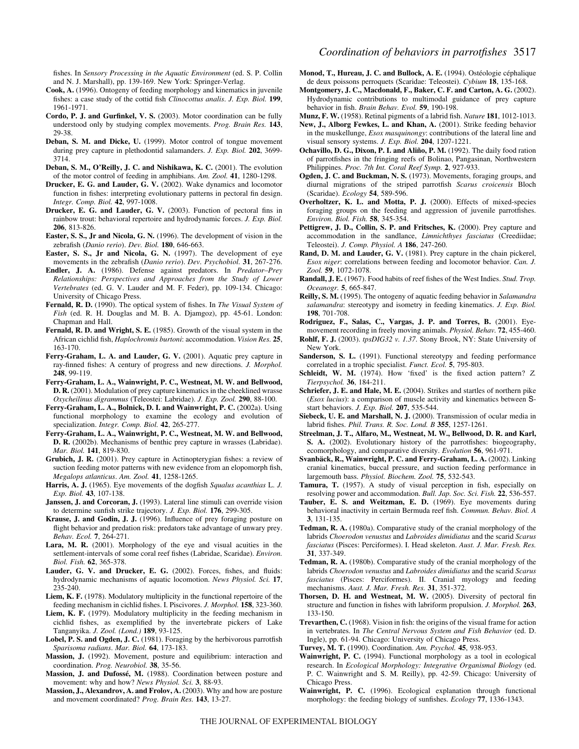- **Cook, A.** (1996). Ontogeny of feeding morphology and kinematics in juvenile fishes: a case study of the cottid fish *Clinocottus analis*. *J. Exp. Biol.* **199**, 1961-1971.
- **Cordo, P. J. and Gurfinkel, V. S.** (2003). Motor coordination can be fully understood only by studying complex movements. *Prog. Brain Res.* **143**, 29-38.
- **Deban, S. M. and Dicke, U.** (1999). Motor control of tongue movement during prey capture in plethodontid salamanders. *J. Exp. Biol.* **202**, 3699- 3714.
- **Deban, S. M., O'Reilly, J. C. and Nishikawa, K. C.** (2001). The evolution of the motor control of feeding in amphibians. *Am. Zool.* **41**, 1280-1298.
- **Drucker, E. G. and Lauder, G. V.** (2002). Wake dynamics and locomotor function in fishes: interpreting evolutionary patterns in pectoral fin design. *Integr. Comp. Biol.* **42**, 997-1008.
- **Drucker, E. G. and Lauder, G. V.** (2003). Function of pectoral fins in rainbow trout: behavioral repertoire and hydrodynamic forces. *J. Exp. Biol.* **206**, 813-826.
- **Easter, S. S., Jr and Nicola, G. N.** (1996). The development of vision in the zebrafish (*Danio rerio*). *Dev. Biol.* **180**, 646-663.
- **Easter, S. S., Jr and Nicola, G. N.** (1997). The development of eye movements in the zebrafish (*Danio rerio*). *Dev. Psychobiol.* **31**, 267-276.
- **Endler, J. A.** (1986). Defense against predators. In *Predator–Prey Relationships: Perspectives and Approaches from the Study of Lower Vertebrates* (ed. G. V. Lauder and M. F. Feder), pp. 109-134. Chicago: University of Chicago Press.
- **Fernald, R. D.** (1990). The optical system of fishes. In *The Visual System of Fish* (ed. R. H. Douglas and M. B. A. Djamgoz), pp. 45-61. London: Chapman and Hall.
- **Fernald, R. D. and Wright, S. E.** (1985). Growth of the visual system in the African cichlid fish, *Haplochromis burtoni*: accommodation. *Vision Res.* **25**, 163-170.
- **Ferry-Graham, L. A. and Lauder, G. V.** (2001). Aquatic prey capture in ray-finned fishes: A century of progress and new directions. *J. Morphol.* **248**, 99-119.
- **Ferry-Graham, L. A., Wainwright, P. C., Westneat, M. W. and Bellwood, D. R.** (2001). Modulation of prey capture kinematics in the cheeklined wrasse *Oxycheilinus digrammus* (Teleostei: Labridae). *J. Exp. Zool.* **290**, 88-100.
- **Ferry-Graham, L. A., Bolnick, D. I. and Wainwright, P. C.** (2002a). Using functional morphology to examine the ecology and evolution of specialization. *Integr. Comp. Biol.* **42**, 265-277.
- **Ferry-Graham, L. A., Wainwright, P. C., Westneat, M. W. and Bellwood, D. R.** (2002b). Mechanisms of benthic prey capture in wrasses (Labridae). *Mar. Biol.* **141**, 819-830.
- **Grubich, J. R.** (2001). Prey capture in Actinopterygian fishes: a review of suction feeding motor patterns with new evidence from an elopomorph fish, *Megalops atlanticus*. *Am. Zool.* **41**, 1258-1265.
- **Harris, A. J.** (1965). Eye movements of the dogfish *Squalus acanthias* L. *J. Exp. Biol.* **43**, 107-138.
- **Janssen, J. and Corcoran, J.** (1993). Lateral line stimuli can override vision to determine sunfish strike trajectory. *J. Exp. Biol.* **176**, 299-305.
- **Krause, J. and Godin, J. J.** (1996). Influence of prey foraging posture on flight behavior and predation risk: predators take advantage of unwary prey. *Behav. Ecol.* **7**, 264-271.
- **Lara, M. R.** (2001). Morphology of the eye and visual acuities in the settlement-intervals of some coral reef fishes (Labridae, Scaridae). *Environ. Biol. Fish.* **62**, 365-378.
- **Lauder, G. V. and Drucker, E. G.** (2002). Forces, fishes, and fluids: hydrodynamic mechanisms of aquatic locomotion. *News Physiol. Sci.* **17**, 235-240.
- **Liem, K. F.** (1978). Modulatory multiplicity in the functional repertoire of the feeding mechanism in cichlid fishes. I. Piscivores. *J. Morphol.* **158**, 323-360.
- **Liem, K. F.** (1979). Modulatory multiplicity in the feeding mechanism in cichlid fishes, as exemplified by the invertebrate pickers of Lake Tanganyika. *J. Zool. (Lond.)* **189**, 93-125.
- **Lobel, P. S. and Ogden, J. C.** (1981). Foraging by the herbivorous parrotfish *Sparisoma radians*. *Mar. Biol.* **64**, 173-183.
- **Massion, J.** (1992). Movement, posture and equilibrium: interaction and coordination. *Prog. Neurobiol.* **38**, 35-56.
- **Massion, J. and Dufossé, M.** (1988). Coordination between posture and movement: why and how? *News Physiol. Sci.* **3**, 88-93.
- **Massion, J., Alexandrov, A. and Frolov, A.** (2003). Why and how are posture and movement coordinated? *Prog. Brain Res.* **143**, 13-27.
- **Monod, T., Hureau, J. C. and Bullock, A. E.** (1994). Ostéologie céphalique de deux poissons perroquets (Scaridae: Teleostei). *Cybium* **18**, 135-168.
- **Montgomery, J. C., Macdonald, F., Baker, C. F. and Carton, A. G.** (2002). Hydrodynamic contributions to multimodal guidance of prey capture behavior in fish. *Brain Behav. Evol.* **59**, 190-198.
- **Munz, F. W.** (1958). Retinal pigments of a labrid fish. *Nature* **181**, 1012-1013. **New, J., Alborg Fewkes, L. and Khan, A.** (2001). Strike feeding behavior in the muskellunge, *Esox masquinongy*: contributions of the lateral line and visual sensory systems. *J. Exp. Biol.* **204**, 1207-1221.
- **Ochavillo, D. G., Dixon, P. I. and Aliño, P. M.** (1992). The daily food ration of parrotfishes in the fringing reefs of Bolinao, Pangasinan, Northwestern Philippines. *Proc. 7th Int. Coral Reef Symp.* **2**, 927-933.
- **Ogden, J. C. and Buckman, N. S.** (1973). Movements, foraging groups, and diurnal migrations of the striped parrotfish *Scarus croicensis* Bloch (Scaridae). *Ecology* **54**, 589-596.
- **Overholtzer, K. L. and Motta, P. J.** (2000). Effects of mixed-species foraging groups on the feeding and aggression of juvenile parrotfishes. *Environ. Biol. Fish.* **58**, 345-354.
- **Pettigrew, J. D., Collin, S. P. and Fritsches, K.** (2000). Prey capture and accommodation in the sandlance, *Limnichthyes fasciatus* (Creediidae; Teleostei). *J. Comp. Physiol. A* **186**, 247-260.
- **Rand, D. M. and Lauder, G. V.** (1981). Prey capture in the chain pickerel, *Esox niger*: correlations between feeding and locomotor behavior. *Can. J. Zool.* **59**, 1072-1078.
- **Randall, J. E.** (1967). Food habits of reef fishes of the West Indies. *Stud. Trop. Oceanogr.* **5**, 665-847.
- **Reilly, S. M.** (1995). The ontogeny of aquatic feeding behavior in *Salamandra salamandra*: stereotypy and isometry in feeding kinematics. *J. Exp. Biol.* **198**, 701-708.
- **Rodriguez, F., Salas, C., Vargas, J. P. and Torres, B.** (2001). Eyemovement recording in freely moving animals. *Physiol. Behav.* **72**, 455-460.
- **Rohlf, F. J.** (2003). *tpsDIG32 v. 1.37*. Stony Brook, NY: State University of New York.
- Sanderson, S. L. (1991). Functional stereotypy and feeding performance correlated in a trophic specialist. *Funct. Ecol.* **5**, 795-803.
- **Schleidt, W. M.** (1974). How 'fixed' is the fixed action pattern? *Z. Tierpsychol.* **36**, 184-211.
- **Schriefer, J. E. and Hale, M. E.** (2004). Strikes and startles of northern pike (*Esox lucius*): a comparison of muscle activity and kinematics between Sstart behaviors. *J. Exp. Biol.* **207**, 535-544.
- **Siebeck, U. E. and Marshall, N. J.** (2000). Transmission of ocular media in labrid fishes. *Phil. Trans. R. Soc. Lond. B* **355**, 1257-1261.
- **Streelman, J. T., Alfaro, M., Westneat, M. W., Bellwood, D. R. and Karl, S. A.** (2002). Evolutionary history of the parrotfishes: biogeography, ecomorphology, and comparative diversity. *Evolution* **56**, 961-971.
- **Svanbäck, R., Wainwright, P. C. and Ferry-Graham, L. A.** (2002). Linking cranial kinematics, buccal pressure, and suction feeding performance in largemouth bass. *Physiol. Biochem. Zool.* **75**, 532-543.
- **Tamura, T.** (1957). A study of visual perception in fish, especially on resolving power and accommodation. *Bull. Jap. Soc. Sci. Fish.* **22**, 536-557.
- **Tauber, E. S. and Weitzman, E. D.** (1969). Eye movements during behavioral inactivity in certain Bermuda reef fish. *Commun. Behav. Biol. A* **3**, 131-135.
- **Tedman, R. A.** (1980a). Comparative study of the cranial morphology of the labrids *Choerodon venustus* and *Labroides dimidiatus* and the scarid *Scarus fasciatus* (Pisces: Perciformes). I. Head skeleton. *Aust. J. Mar. Fresh. Res.* **31**, 337-349.
- **Tedman, R. A.** (1980b). Comparative study of the cranial morphology of the labrids *Choerodon venustus* and *Labroides dimidiatus* and the scarid *Scarus fasciatus* (Pisces: Perciformes). II. Cranial myology and feeding mechanisms. *Aust. J. Mar. Fresh. Res.* **31**, 351-372.
- **Thorsen, D. H. and Westneat, M. W.** (2005). Diversity of pectoral fin structure and function in fishes with labriform propulsion. *J. Morphol.* **263**, 133-150.
- **Trevarthen, C.** (1968). Vision in fish: the origins of the visual frame for action in vertebrates. In *The Central Nervous System and Fish Behavior* (ed. D. Ingle), pp. 61-94. Chicago: University of Chicago Press.
- **Turvey, M. T.** (1990). Coordination. *Am. Psychol.* **45**, 938-953.
- **Wainwright, P. C.** (1994). Functional morphology as a tool in ecological research. In *Ecological Morphology: Integrative Organismal Biology* (ed. P. C. Wainwright and S. M. Reilly), pp. 42-59. Chicago: University of Chicago Press.
- **Wainwright, P. C.** (1996). Ecological explanation through functional morphology: the feeding biology of sunfishes. *Ecology* **77**, 1336-1343.